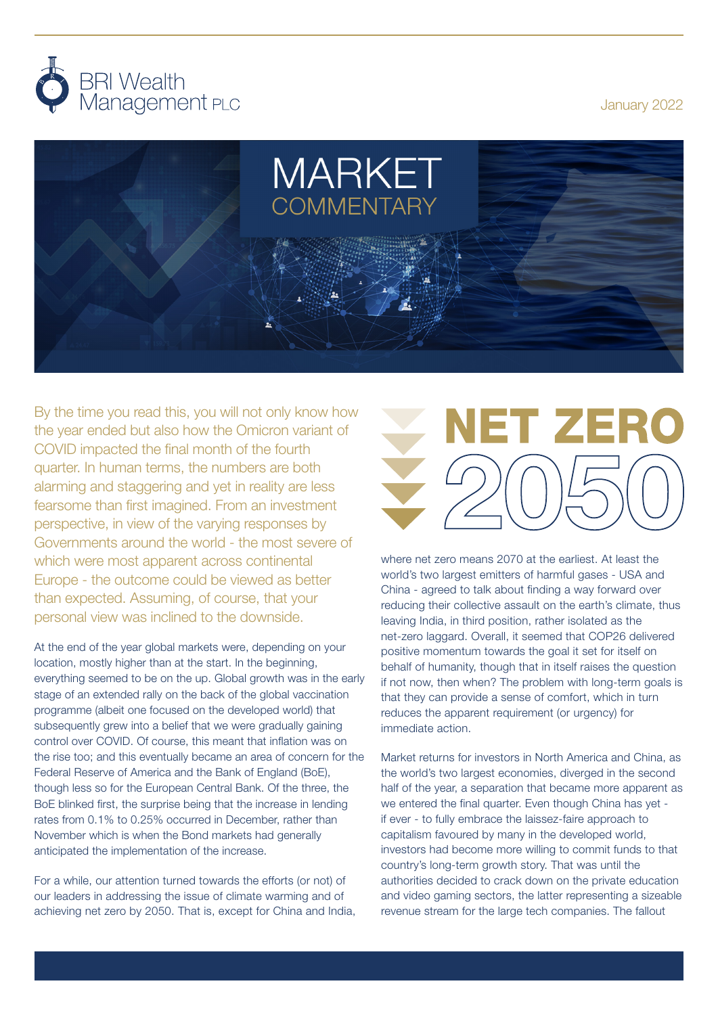

January 2022



By the time you read this, you will not only know how the year ended but also how the Omicron variant of COVID impacted the final month of the fourth quarter. In human terms, the numbers are both alarming and staggering and yet in reality are less fearsome than first imagined. From an investment perspective, in view of the varying responses by Governments around the world - the most severe of which were most apparent across continental Europe - the outcome could be viewed as better than expected. Assuming, of course, that your personal view was inclined to the downside.

At the end of the year global markets were, depending on your location, mostly higher than at the start. In the beginning, everything seemed to be on the up. Global growth was in the early stage of an extended rally on the back of the global vaccination programme (albeit one focused on the developed world) that subsequently grew into a belief that we were gradually gaining control over COVID. Of course, this meant that inflation was on the rise too; and this eventually became an area of concern for the Federal Reserve of America and the Bank of England (BoE), though less so for the European Central Bank. Of the three, the BoE blinked first, the surprise being that the increase in lending rates from 0.1% to 0.25% occurred in December, rather than November which is when the Bond markets had generally anticipated the implementation of the increase.

For a while, our attention turned towards the efforts (or not) of our leaders in addressing the issue of climate warming and of achieving net zero by 2050. That is, except for China and India,

## ET ZERO

where net zero means 2070 at the earliest. At least the world's two largest emitters of harmful gases - USA and China - agreed to talk about finding a way forward over reducing their collective assault on the earth's climate, thus leaving India, in third position, rather isolated as the net-zero laggard. Overall, it seemed that COP26 delivered positive momentum towards the goal it set for itself on behalf of humanity, though that in itself raises the question if not now, then when? The problem with long-term goals is that they can provide a sense of comfort, which in turn reduces the apparent requirement (or urgency) for immediate action.

Market returns for investors in North America and China, as the world's two largest economies, diverged in the second half of the year, a separation that became more apparent as we entered the final quarter. Even though China has yet if ever - to fully embrace the laissez-faire approach to capitalism favoured by many in the developed world, investors had become more willing to commit funds to that country's long-term growth story. That was until the authorities decided to crack down on the private education and video gaming sectors, the latter representing a sizeable revenue stream for the large tech companies. The fallout